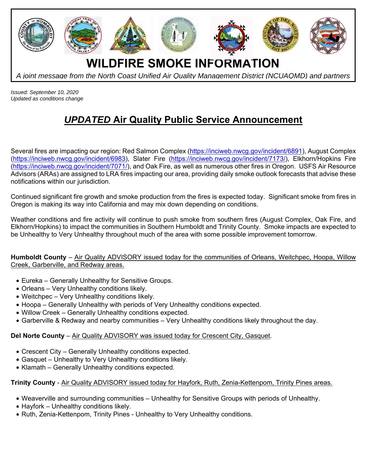

*Issued: September 10, 2020 Updated as conditions change* 

## *UPDATED* **Air Quality Public Service Announcement**

Several fires are impacting our region: Red Salmon Complex (https://inciweb.nwcg.gov/incident/6891), August Complex (https://inciweb.nwcg.gov/incident/6983), Slater Fire (https://inciweb.nwcg.gov/incident/7173/), Elkhorn/Hopkins Fire (https://inciweb.nwcg.gov/incident/7071/), and Oak Fire, as well as numerous other fires in Oregon. USFS Air Resource Advisors (ARAs) are assigned to LRA fires impacting our area, providing daily smoke outlook forecasts that advise these notifications within our jurisdiction.

Continued significant fire growth and smoke production from the fires is expected today. Significant smoke from fires in Oregon is making its way into California and may mix down depending on conditions.

Weather conditions and fire activity will continue to push smoke from southern fires (August Complex, Oak Fire, and Elkhorn/Hopkins) to impact the communities in Southern Humboldt and Trinity County. Smoke impacts are expected to be Unhealthy to Very Unhealthy throughout much of the area with some possible improvement tomorrow.

**Humboldt County** – Air Quality ADVISORY issued today for the communities of Orleans, Weitchpec, Hoopa, Willow Creek, Garberville, and Redway areas.

- Eureka Generally Unhealthy for Sensitive Groups.
- Orleans Very Unhealthy conditions likely.
- Weitchpec Very Unhealthy conditions likely.
- Hoopa Generally Unhealthy with periods of Very Unhealthy conditions expected.
- Willow Creek Generally Unhealthy conditions expected.
- Garberville & Redway and nearby communities Very Unhealthy conditions likely throughout the day.

## **Del Norte County** – Air Quality ADVISORY was issued today for Crescent City, Gasquet.

- Crescent City Generally Unhealthy conditions expected.
- Gasquet Unhealthy to Very Unhealthy conditions likely.
- Klamath Generally Unhealthy conditions expected.

## **Trinity County** - Air Quality ADVISORY issued today for Hayfork, Ruth, Zenia-Kettenpom, Trinity Pines areas.

- Weaverville and surrounding communities Unhealthy for Sensitive Groups with periods of Unhealthy.
- Hayfork Unhealthy conditions likely.
- Ruth, Zenia-Kettenpom, Trinity Pines Unhealthy to Very Unhealthy conditions.